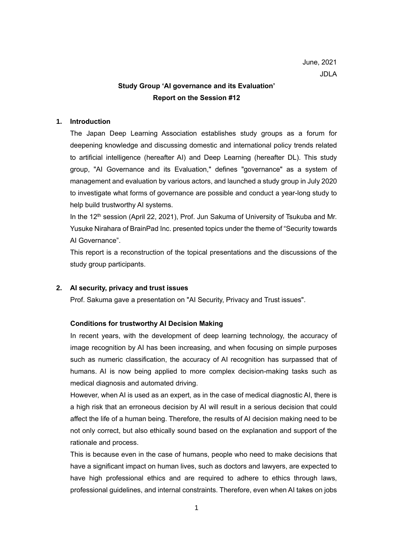# **Study Group 'AI governance and its Evaluation' Report on the Session #12**

# **1. Introduction**

The Japan Deep Learning Association establishes study groups as a forum for deepening knowledge and discussing domestic and international policy trends related to artificial intelligence (hereafter AI) and Deep Learning (hereafter DL). This study group, "AI Governance and its Evaluation," defines "governance" as a system of management and evaluation by various actors, and launched a study group in July 2020 to investigate what forms of governance are possible and conduct a year-long study to help build trustworthy AI systems.

In the 12<sup>th</sup> session (April 22, 2021), Prof. Jun Sakuma of University of Tsukuba and Mr. Yusuke Nirahara of BrainPad Inc. presented topics under the theme of "Security towards AI Governance".

This report is a reconstruction of the topical presentations and the discussions of the study group participants.

# **2. AI security, privacy and trust issues**

Prof. Sakuma gave a presentation on "AI Security, Privacy and Trust issues".

## **Conditions for trustworthy AI Decision Making**

In recent years, with the development of deep learning technology, the accuracy of image recognition by AI has been increasing, and when focusing on simple purposes such as numeric classification, the accuracy of AI recognition has surpassed that of humans. AI is now being applied to more complex decision-making tasks such as medical diagnosis and automated driving.

However, when AI is used as an expert, as in the case of medical diagnostic AI, there is a high risk that an erroneous decision by AI will result in a serious decision that could affect the life of a human being. Therefore, the results of AI decision making need to be not only correct, but also ethically sound based on the explanation and support of the rationale and process.

This is because even in the case of humans, people who need to make decisions that have a significant impact on human lives, such as doctors and lawyers, are expected to have high professional ethics and are required to adhere to ethics through laws, professional guidelines, and internal constraints. Therefore, even when AI takes on jobs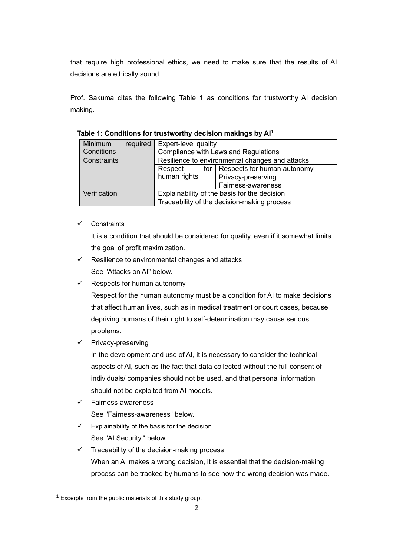that require high professional ethics, we need to make sure that the results of AI decisions are ethically sound.

Prof. Sakuma cites the following Table 1 as conditions for trustworthy AI decision making.

| Minimum      | required                                     | <b>Expert-level quality</b>                     |                                   |
|--------------|----------------------------------------------|-------------------------------------------------|-----------------------------------|
| Conditions   |                                              | Compliance with Laws and Regulations            |                                   |
| Constraints  |                                              | Resilience to environmental changes and attacks |                                   |
|              |                                              | Respect                                         | for   Respects for human autonomy |
|              |                                              | human rights                                    | Privacy-preserving                |
|              |                                              |                                                 | Fairness-awareness                |
| Verification | Explainability of the basis for the decision |                                                 |                                   |
|              |                                              | Traceability of the decision-making process     |                                   |

**Table 1: Conditions for trustworthy decision makings by AI**<sup>1</sup>

✓ Constraints

It is a condition that should be considered for quality, even if it somewhat limits the goal of profit maximization.

- $\checkmark$  Resilience to environmental changes and attacks See "Attacks on AI" below.
- $\checkmark$  Respects for human autonomy

Respect for the human autonomy must be a condition for AI to make decisions that affect human lives, such as in medical treatment or court cases, because depriving humans of their right to self-determination may cause serious problems.

✓ Privacy-preserving

In the development and use of AI, it is necessary to consider the technical aspects of AI, such as the fact that data collected without the full consent of individuals/ companies should not be used, and that personal information should not be exploited from AI models.

✓ Fairness-awareness

See "Fairness-awareness" below.

- $\checkmark$  Explainability of the basis for the decision See "AI Security," below.
- $\checkmark$  Traceability of the decision-making process When an AI makes a wrong decision, it is essential that the decision-making process can be tracked by humans to see how the wrong decision was made.

 $1$  Excerpts from the public materials of this study group.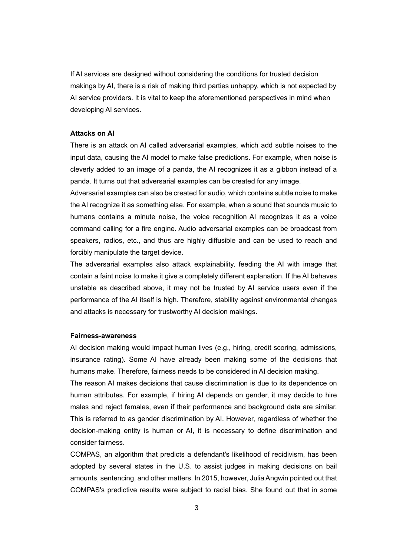If AI services are designed without considering the conditions for trusted decision makings by AI, there is a risk of making third parties unhappy, which is not expected by AI service providers. It is vital to keep the aforementioned perspectives in mind when developing AI services.

### **Attacks on AI**

There is an attack on AI called adversarial examples, which add subtle noises to the input data, causing the AI model to make false predictions. For example, when noise is cleverly added to an image of a panda, the AI recognizes it as a gibbon instead of a panda. It turns out that adversarial examples can be created for any image.

Adversarial examples can also be created for audio, which contains subtle noise to make the AI recognize it as something else. For example, when a sound that sounds music to humans contains a minute noise, the voice recognition AI recognizes it as a voice command calling for a fire engine. Audio adversarial examples can be broadcast from speakers, radios, etc., and thus are highly diffusible and can be used to reach and forcibly manipulate the target device.

The adversarial examples also attack explainability, feeding the AI with image that contain a faint noise to make it give a completely different explanation. If the AI behaves unstable as described above, it may not be trusted by AI service users even if the performance of the AI itself is high. Therefore, stability against environmental changes and attacks is necessary for trustworthy AI decision makings.

### **Fairness-awareness**

AI decision making would impact human lives (e.g., hiring, credit scoring, admissions, insurance rating). Some AI have already been making some of the decisions that humans make. Therefore, fairness needs to be considered in AI decision making.

The reason AI makes decisions that cause discrimination is due to its dependence on human attributes. For example, if hiring AI depends on gender, it may decide to hire males and reject females, even if their performance and background data are similar. This is referred to as gender discrimination by AI. However, regardless of whether the decision-making entity is human or AI, it is necessary to define discrimination and consider fairness.

COMPAS, an algorithm that predicts a defendant's likelihood of recidivism, has been adopted by several states in the U.S. to assist judges in making decisions on bail amounts, sentencing, and other matters. In 2015, however, Julia Angwin pointed out that COMPAS's predictive results were subject to racial bias. She found out that in some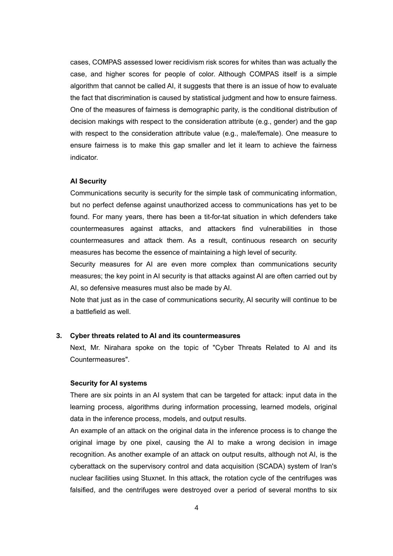cases, COMPAS assessed lower recidivism risk scores for whites than was actually the case, and higher scores for people of color. Although COMPAS itself is a simple algorithm that cannot be called AI, it suggests that there is an issue of how to evaluate the fact that discrimination is caused by statistical judgment and how to ensure fairness. One of the measures of fairness is demographic parity, is the conditional distribution of decision makings with respect to the consideration attribute (e.g., gender) and the gap with respect to the consideration attribute value (e.g., male/female). One measure to ensure fairness is to make this gap smaller and let it learn to achieve the fairness indicator.

#### **AI Security**

Communications security is security for the simple task of communicating information, but no perfect defense against unauthorized access to communications has yet to be found. For many years, there has been a tit-for-tat situation in which defenders take countermeasures against attacks, and attackers find vulnerabilities in those countermeasures and attack them. As a result, continuous research on security measures has become the essence of maintaining a high level of security.

Security measures for AI are even more complex than communications security measures; the key point in AI security is that attacks against AI are often carried out by AI, so defensive measures must also be made by AI.

Note that just as in the case of communications security, AI security will continue to be a battlefield as well.

### **3. Cyber threats related to AI and its countermeasures**

Next, Mr. Nirahara spoke on the topic of "Cyber Threats Related to AI and its Countermeasures".

### **Security for AI systems**

There are six points in an AI system that can be targeted for attack: input data in the learning process, algorithms during information processing, learned models, original data in the inference process, models, and output results.

An example of an attack on the original data in the inference process is to change the original image by one pixel, causing the AI to make a wrong decision in image recognition. As another example of an attack on output results, although not AI, is the cyberattack on the supervisory control and data acquisition (SCADA) system of Iran's nuclear facilities using Stuxnet. In this attack, the rotation cycle of the centrifuges was falsified, and the centrifuges were destroyed over a period of several months to six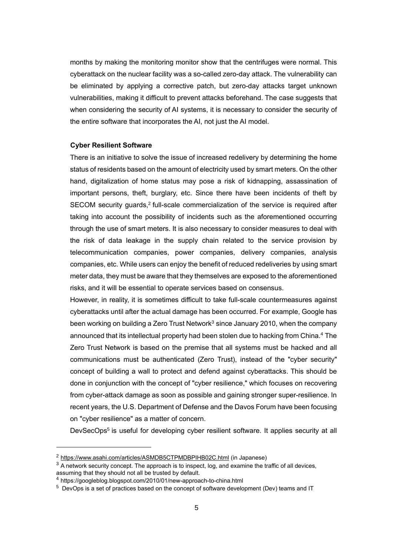months by making the monitoring monitor show that the centrifuges were normal. This cyberattack on the nuclear facility was a so-called zero-day attack. The vulnerability can be eliminated by applying a corrective patch, but zero-day attacks target unknown vulnerabilities, making it difficult to prevent attacks beforehand. The case suggests that when considering the security of AI systems, it is necessary to consider the security of the entire software that incorporates the AI, not just the AI model.

#### **Cyber Resilient Software**

There is an initiative to solve the issue of increased redelivery by determining the home status of residents based on the amount of electricity used by smart meters. On the other hand, digitalization of home status may pose a risk of kidnapping, assassination of important persons, theft, burglary, etc. Since there have been incidents of theft by SECOM security guards,<sup>2</sup> full-scale commercialization of the service is required after taking into account the possibility of incidents such as the aforementioned occurring through the use of smart meters. It is also necessary to consider measures to deal with the risk of data leakage in the supply chain related to the service provision by telecommunication companies, power companies, delivery companies, analysis companies, etc. While users can enjoy the benefit of reduced redeliveries by using smart meter data, they must be aware that they themselves are exposed to the aforementioned risks, and it will be essential to operate services based on consensus.

However, in reality, it is sometimes difficult to take full-scale countermeasures against cyberattacks until after the actual damage has been occurred. For example, Google has been working on building a Zero Trust Network $3$  since January 2010, when the company announced that its intellectual property had been stolen due to hacking from China.<sup>4</sup> The Zero Trust Network is based on the premise that all systems must be hacked and all communications must be authenticated (Zero Trust), instead of the "cyber security" concept of building a wall to protect and defend against cyberattacks. This should be done in conjunction with the concept of "cyber resilience," which focuses on recovering from cyber-attack damage as soon as possible and gaining stronger super-resilience. In recent years, the U.S. Department of Defense and the Davos Forum have been focusing on "cyber resilience" as a matter of concern.

DevSecOps<sup>5</sup> is useful for developing cyber resilient software. It applies security at all

<sup>2</sup> [https://www.asahi.com/articles/ASMDB5CTPMDBPIHB02C.html](about:blank) (in Japanese)

 $3$  A network security concept. The approach is to inspect, log, and examine the traffic of all devices, assuming that they should not all be trusted by default.

<sup>4</sup> https://googleblog.blogspot.com/2010/01/new-approach-to-china.html

 $5$  DevOps is a set of practices based on the concept of software development (Dev) teams and IT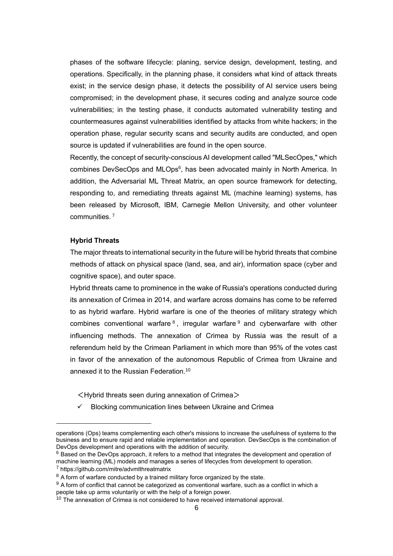phases of the software lifecycle: planing, service design, development, testing, and operations. Specifically, in the planning phase, it considers what kind of attack threats exist; in the service design phase, it detects the possibility of AI service users being compromised; in the development phase, it secures coding and analyze source code vulnerabilities; in the testing phase, it conducts automated vulnerability testing and countermeasures against vulnerabilities identified by attacks from white hackers; in the operation phase, regular security scans and security audits are conducted, and open source is updated if vulnerabilities are found in the open source.

Recently, the concept of security-conscious AI development called "MLSecOpes," which combines DevSecOps and MLOps<sup>6</sup>, has been advocated mainly in North America. In addition, the Adversarial ML Threat Matrix, an open source framework for detecting, responding to, and remediating threats against ML (machine learning) systems, has been released by Microsoft, IBM, Carnegie Mellon University, and other volunteer communities. <sup>7</sup>

#### **Hybrid Threats**

The major threats to international security in the future will be hybrid threats that combine methods of attack on physical space (land, sea, and air), information space (cyber and cognitive space), and outer space.

Hybrid threats came to prominence in the wake of Russia's operations conducted during its annexation of Crimea in 2014, and warfare across domains has come to be referred to as hybrid warfare. Hybrid warfare is one of the theories of military strategy which combines conventional warfare  $8$ , irregular warfare  $9$  and cyberwarfare with other influencing methods. The annexation of Crimea by Russia was the result of a referendum held by the Crimean Parliament in which more than 95% of the votes cast in favor of the annexation of the autonomous Republic of Crimea from Ukraine and annexed it to the Russian Federation.<sup>10</sup>

- $\leq$  Hybrid threats seen during annexation of Crimea $>$
- ✓ Blocking communication lines between Ukraine and Crimea

 $9$  A form of conflict that cannot be categorized as conventional warfare, such as a conflict in which a people take up arms voluntarily or with the help of a foreign power.

operations (Ops) teams complementing each other's missions to increase the usefulness of systems to the business and to ensure rapid and reliable implementation and operation. DevSecOps is the combination of DevOps development and operations with the addition of security.

 $6$  Based on the DevOps approach, it refers to a method that integrates the development and operation of machine learning (ML) models and manages a series of lifecycles from development to operation. <sup>7</sup> https://github.com/mitre/advmlthreatmatrix

 $8$  A form of warfare conducted by a trained military force organized by the state.

 $10$  The annexation of Crimea is not considered to have received international approval.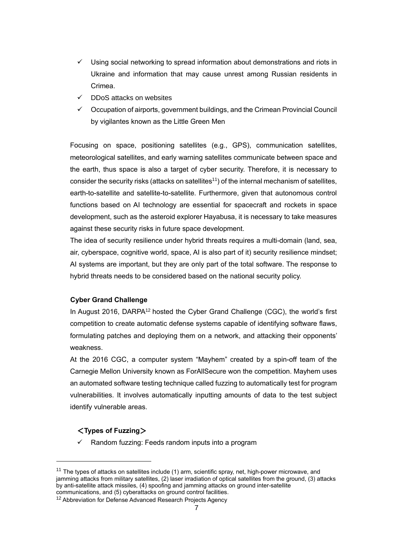- $\checkmark$  Using social networking to spread information about demonstrations and riots in Ukraine and information that may cause unrest among Russian residents in Crimea.
- $\checkmark$  DDoS attacks on websites
- ✓ Occupation of airports, government buildings, and the Crimean Provincial Council by vigilantes known as the Little Green Men

Focusing on space, positioning satellites (e.g., GPS), communication satellites, meteorological satellites, and early warning satellites communicate between space and the earth, thus space is also a target of cyber security. Therefore, it is necessary to consider the security risks (attacks on satellites<sup>11</sup>) of the internal mechanism of satellites, earth-to-satellite and satellite-to-satellite. Furthermore, given that autonomous control functions based on AI technology are essential for spacecraft and rockets in space development, such as the asteroid explorer Hayabusa, it is necessary to take measures against these security risks in future space development.

The idea of security resilience under hybrid threats requires a multi-domain (land, sea, air, cyberspace, cognitive world, space, AI is also part of it) security resilience mindset; AI systems are important, but they are only part of the total software. The response to hybrid threats needs to be considered based on the national security policy.

# **Cyber Grand Challenge**

In August 2016, DARPA<sup>12</sup> hosted the Cyber Grand Challenge (CGC), the world's first competition to create automatic defense systems capable of identifying software flaws, formulating patches and deploying them on a network, and attacking their opponents' weakness.

At the 2016 CGC, a computer system "Mayhem" created by a spin-off team of the Carnegie Mellon University known as ForAllSecure won the competition. Mayhem uses an automated software testing technique called fuzzing to automatically test for program vulnerabilities. It involves automatically inputting amounts of data to the test subject identify vulnerable areas.

# <**Types of Fuzzing**>

Random fuzzing: Feeds random inputs into a program

 $11$  The types of attacks on satellites include (1) arm, scientific spray, net, high-power microwave, and jamming attacks from military satellites, (2) laser irradiation of optical satellites from the ground, (3) attacks by anti-satellite attack missiles, (4) spoofing and jamming attacks on ground inter-satellite communications, and (5) cyberattacks on ground control facilities.

<sup>&</sup>lt;sup>12</sup> Abbreviation for Defense Advanced Research Projects Agency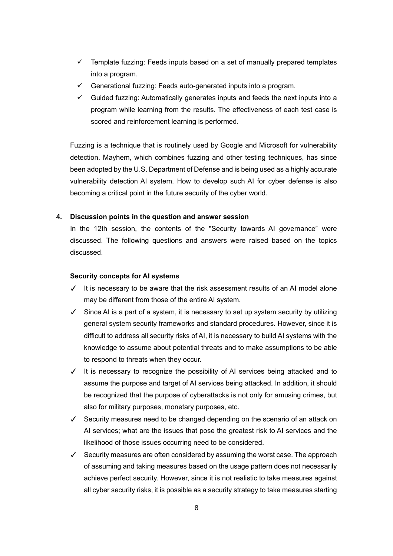- $\checkmark$  Template fuzzing: Feeds inputs based on a set of manually prepared templates into a program.
- $\checkmark$  Generational fuzzing: Feeds auto-generated inputs into a program.
- $\checkmark$  Guided fuzzing: Automatically generates inputs and feeds the next inputs into a program while learning from the results. The effectiveness of each test case is scored and reinforcement learning is performed.

Fuzzing is a technique that is routinely used by Google and Microsoft for vulnerability detection. Mayhem, which combines fuzzing and other testing techniques, has since been adopted by the U.S. Department of Defense and is being used as a highly accurate vulnerability detection AI system. How to develop such AI for cyber defense is also becoming a critical point in the future security of the cyber world.

## **4. Discussion points in the question and answer session**

In the 12th session, the contents of the "Security towards AI governance" were discussed. The following questions and answers were raised based on the topics discussed.

### **Security concepts for AI systems**

- ✓ It is necessary to be aware that the risk assessment results of an AI model alone may be different from those of the entire AI system.
- ✓ Since AI is a part of a system, it is necessary to set up system security by utilizing general system security frameworks and standard procedures. However, since it is difficult to address all security risks of AI, it is necessary to build AI systems with the knowledge to assume about potential threats and to make assumptions to be able to respond to threats when they occur.
- ✓ It is necessary to recognize the possibility of AI services being attacked and to assume the purpose and target of AI services being attacked. In addition, it should be recognized that the purpose of cyberattacks is not only for amusing crimes, but also for military purposes, monetary purposes, etc.
- ✓ Security measures need to be changed depending on the scenario of an attack on AI services; what are the issues that pose the greatest risk to AI services and the likelihood of those issues occurring need to be considered.
- ✓ Security measures are often considered by assuming the worst case. The approach of assuming and taking measures based on the usage pattern does not necessarily achieve perfect security. However, since it is not realistic to take measures against all cyber security risks, it is possible as a security strategy to take measures starting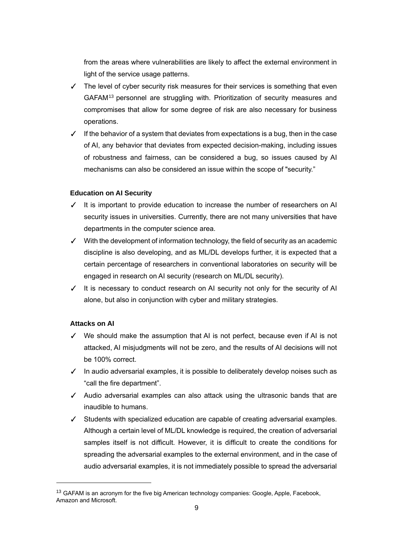from the areas where vulnerabilities are likely to affect the external environment in light of the service usage patterns.

- $\checkmark$  The level of cyber security risk measures for their services is something that even GAFAM<sup>13</sup> personnel are struggling with. Prioritization of security measures and compromises that allow for some degree of risk are also necessary for business operations.
- ✓ If the behavior of a system that deviates from expectations is a bug, then in the case of AI, any behavior that deviates from expected decision-making, including issues of robustness and fairness, can be considered a bug, so issues caused by AI mechanisms can also be considered an issue within the scope of "security."

### **Education on AI Security**

- ✓ It is important to provide education to increase the number of researchers on AI security issues in universities. Currently, there are not many universities that have departments in the computer science area.
- ✓ With the development of information technology, the field of security as an academic discipline is also developing, and as ML/DL develops further, it is expected that a certain percentage of researchers in conventional laboratories on security will be engaged in research on AI security (research on ML/DL security).
- ✓ It is necessary to conduct research on AI security not only for the security of AI alone, but also in conjunction with cyber and military strategies.

# **Attacks on AI**

- ✓ We should make the assumption that AI is not perfect, because even if AI is not attacked, AI misjudgments will not be zero, and the results of AI decisions will not be 100% correct.
- ✓ In audio adversarial examples, it is possible to deliberately develop noises such as "call the fire department".
- ✓ Audio adversarial examples can also attack using the ultrasonic bands that are inaudible to humans.
- ✓ Students with specialized education are capable of creating adversarial examples. Although a certain level of ML/DL knowledge is required, the creation of adversarial samples itself is not difficult. However, it is difficult to create the conditions for spreading the adversarial examples to the external environment, and in the case of audio adversarial examples, it is not immediately possible to spread the adversarial

<sup>&</sup>lt;sup>13</sup> GAFAM is an acronym for the five big American technology companies: Google, Apple, Facebook, Amazon and Microsoft.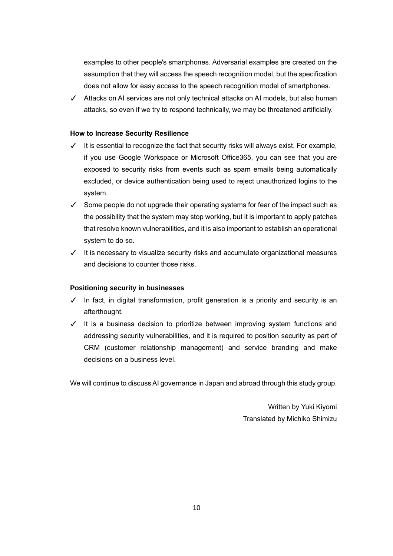examples to other people's smartphones. Adversarial examples are created on the assumption that they will access the speech recognition model, but the specification does not allow for easy access to the speech recognition model of smartphones.

✓ Attacks on AI services are not only technical attacks on AI models, but also human attacks, so even if we try to respond technically, we may be threatened artificially.

# **How to Increase Security Resilience**

- $\checkmark$  It is essential to recognize the fact that security risks will always exist. For example, if you use Google Workspace or Microsoft Office365, you can see that you are exposed to security risks from events such as spam emails being automatically excluded, or device authentication being used to reject unauthorized logins to the system.
- ✓ Some people do not upgrade their operating systems for fear of the impact such as the possibility that the system may stop working, but it is important to apply patches that resolve known vulnerabilities, and it is also important to establish an operational system to do so.
- ✓ It is necessary to visualize security risks and accumulate organizational measures and decisions to counter those risks.

# **Positioning security in businesses**

- ✓ In fact, in digital transformation, profit generation is a priority and security is an afterthought.
- ✓ It is a business decision to prioritize between improving system functions and addressing security vulnerabilities, and it is required to position security as part of CRM (customer relationship management) and service branding and make decisions on a business level.

We will continue to discuss AI governance in Japan and abroad through this study group.

Written by Yuki Kiyomi Translated by Michiko Shimizu